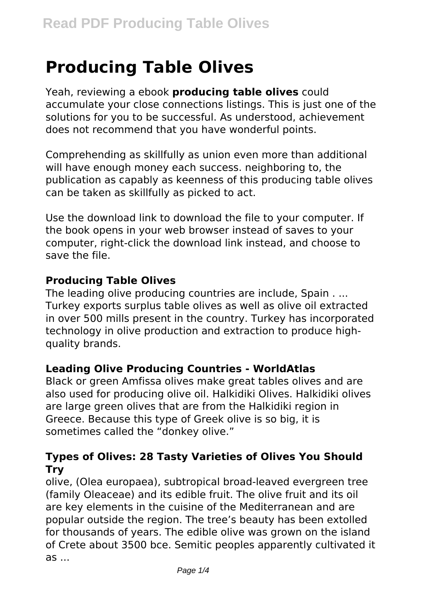# **Producing Table Olives**

Yeah, reviewing a ebook **producing table olives** could accumulate your close connections listings. This is just one of the solutions for you to be successful. As understood, achievement does not recommend that you have wonderful points.

Comprehending as skillfully as union even more than additional will have enough money each success. neighboring to, the publication as capably as keenness of this producing table olives can be taken as skillfully as picked to act.

Use the download link to download the file to your computer. If the book opens in your web browser instead of saves to your computer, right-click the download link instead, and choose to save the file.

#### **Producing Table Olives**

The leading olive producing countries are include, Spain . ... Turkey exports surplus table olives as well as olive oil extracted in over 500 mills present in the country. Turkey has incorporated technology in olive production and extraction to produce highquality brands.

#### **Leading Olive Producing Countries - WorldAtlas**

Black or green Amfissa olives make great tables olives and are also used for producing olive oil. Halkidiki Olives. Halkidiki olives are large green olives that are from the Halkidiki region in Greece. Because this type of Greek olive is so big, it is sometimes called the "donkey olive."

#### **Types of Olives: 28 Tasty Varieties of Olives You Should Try**

olive, (Olea europaea), subtropical broad-leaved evergreen tree (family Oleaceae) and its edible fruit. The olive fruit and its oil are key elements in the cuisine of the Mediterranean and are popular outside the region. The tree's beauty has been extolled for thousands of years. The edible olive was grown on the island of Crete about 3500 bce. Semitic peoples apparently cultivated it as ...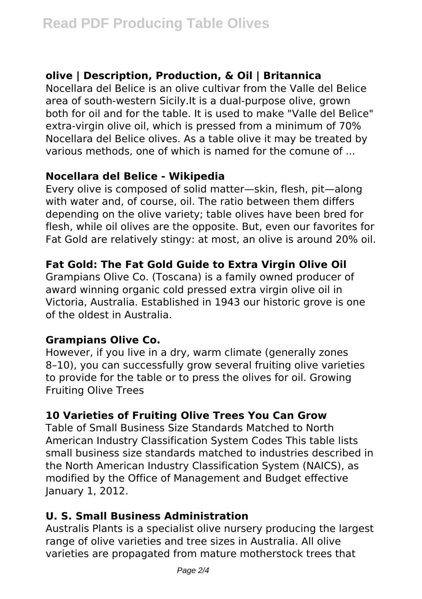# **olive | Description, Production, & Oil | Britannica**

Nocellara del Belice is an olive cultivar from the Valle del Belice area of south-western Sicily.It is a dual-purpose olive, grown both for oil and for the table. It is used to make "Valle del Belìce" extra-virgin olive oil, which is pressed from a minimum of 70% Nocellara del Belice olives. As a table olive it may be treated by various methods, one of which is named for the comune of ...

# **Nocellara del Belice - Wikipedia**

Every olive is composed of solid matter—skin, flesh, pit—along with water and, of course, oil. The ratio between them differs depending on the olive variety; table olives have been bred for flesh, while oil olives are the opposite. But, even our favorites for Fat Gold are relatively stingy: at most, an olive is around 20% oil.

# **Fat Gold: The Fat Gold Guide to Extra Virgin Olive Oil**

Grampians Olive Co. (Toscana) is a family owned producer of award winning organic cold pressed extra virgin olive oil in Victoria, Australia. Established in 1943 our historic grove is one of the oldest in Australia.

# **Grampians Olive Co.**

However, if you live in a dry, warm climate (generally zones 8–10), you can successfully grow several fruiting olive varieties to provide for the table or to press the olives for oil. Growing Fruiting Olive Trees

# **10 Varieties of Fruiting Olive Trees You Can Grow**

Table of Small Business Size Standards Matched to North American Industry Classification System Codes This table lists small business size standards matched to industries described in the North American Industry Classification System (NAICS), as modified by the Office of Management and Budget effective January 1, 2012.

# **U. S. Small Business Administration**

Australis Plants is a specialist olive nursery producing the largest range of olive varieties and tree sizes in Australia. All olive varieties are propagated from mature motherstock trees that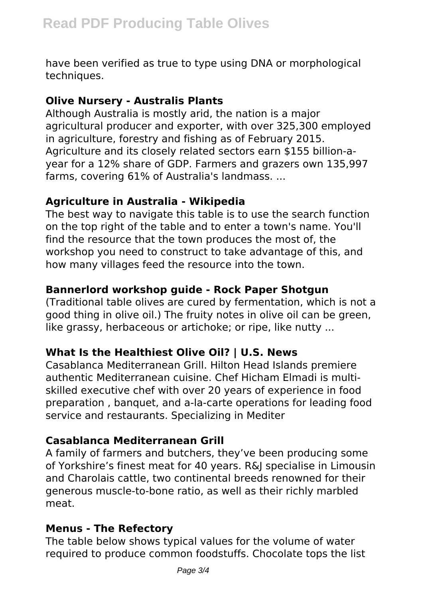have been verified as true to type using DNA or morphological techniques.

#### **Olive Nursery - Australis Plants**

Although Australia is mostly arid, the nation is a major agricultural producer and exporter, with over 325,300 employed in agriculture, forestry and fishing as of February 2015. Agriculture and its closely related sectors earn \$155 billion-ayear for a 12% share of GDP. Farmers and grazers own 135,997 farms, covering 61% of Australia's landmass. ...

#### **Agriculture in Australia - Wikipedia**

The best way to navigate this table is to use the search function on the top right of the table and to enter a town's name. You'll find the resource that the town produces the most of, the workshop you need to construct to take advantage of this, and how many villages feed the resource into the town.

# **Bannerlord workshop guide - Rock Paper Shotgun**

(Traditional table olives are cured by fermentation, which is not a good thing in olive oil.) The fruity notes in olive oil can be green, like grassy, herbaceous or artichoke; or ripe, like nutty ...

## **What Is the Healthiest Olive Oil? | U.S. News**

Casablanca Mediterranean Grill. Hilton Head Islands premiere authentic Mediterranean cuisine. Chef Hicham Elmadi is multiskilled executive chef with over 20 years of experience in food preparation , banquet, and a-la-carte operations for leading food service and restaurants. Specializing in Mediter

## **Casablanca Mediterranean Grill**

A family of farmers and butchers, they've been producing some of Yorkshire's finest meat for 40 years. R&J specialise in Limousin and Charolais cattle, two continental breeds renowned for their generous muscle-to-bone ratio, as well as their richly marbled meat.

## **Menus - The Refectory**

The table below shows typical values for the volume of water required to produce common foodstuffs. Chocolate tops the list